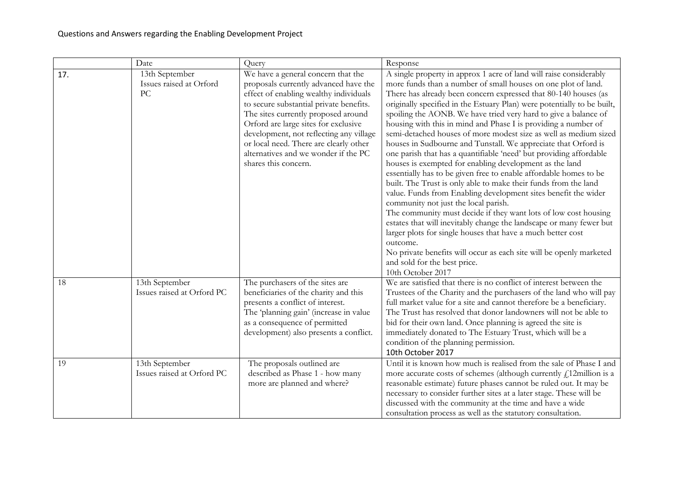|     | Date                                            | Query                                                                                                                                                                                                                                                                                                                                                                                                | Response                                                                                                                                                                                                                                                                                                                                                                                                                                                                                                                                                                                                                                                                                                                                                                                                                                                                                                                                                                                                                                                                                                                                                                                                                                                                                         |
|-----|-------------------------------------------------|------------------------------------------------------------------------------------------------------------------------------------------------------------------------------------------------------------------------------------------------------------------------------------------------------------------------------------------------------------------------------------------------------|--------------------------------------------------------------------------------------------------------------------------------------------------------------------------------------------------------------------------------------------------------------------------------------------------------------------------------------------------------------------------------------------------------------------------------------------------------------------------------------------------------------------------------------------------------------------------------------------------------------------------------------------------------------------------------------------------------------------------------------------------------------------------------------------------------------------------------------------------------------------------------------------------------------------------------------------------------------------------------------------------------------------------------------------------------------------------------------------------------------------------------------------------------------------------------------------------------------------------------------------------------------------------------------------------|
| 17. | 13th September<br>Issues raised at Orford<br>PC | We have a general concern that the<br>proposals currently advanced have the<br>effect of enabling wealthy individuals<br>to secure substantial private benefits.<br>The sites currently proposed around<br>Orford are large sites for exclusive<br>development, not reflecting any village<br>or local need. There are clearly other<br>alternatives and we wonder if the PC<br>shares this concern. | A single property in approx 1 acre of land will raise considerably<br>more funds than a number of small houses on one plot of land.<br>There has already been concern expressed that 80-140 houses (as<br>originally specified in the Estuary Plan) were potentially to be built,<br>spoiling the AONB. We have tried very hard to give a balance of<br>housing with this in mind and Phase I is providing a number of<br>semi-detached houses of more modest size as well as medium sized<br>houses in Sudbourne and Tunstall. We appreciate that Orford is<br>one parish that has a quantifiable 'need' but providing affordable<br>houses is exempted for enabling development as the land<br>essentially has to be given free to enable affordable homes to be<br>built. The Trust is only able to make their funds from the land<br>value. Funds from Enabling development sites benefit the wider<br>community not just the local parish.<br>The community must decide if they want lots of low cost housing<br>estates that will inevitably change the landscape or many fewer but<br>larger plots for single houses that have a much better cost<br>outcome.<br>No private benefits will occur as each site will be openly marketed<br>and sold for the best price.<br>10th October 2017 |
| 18  | 13th September<br>Issues raised at Orford PC    | The purchasers of the sites are<br>beneficiaries of the charity and this<br>presents a conflict of interest.<br>The 'planning gain' (increase in value<br>as a consequence of permitted<br>development) also presents a conflict.                                                                                                                                                                    | We are satisfied that there is no conflict of interest between the<br>Trustees of the Charity and the purchasers of the land who will pay<br>full market value for a site and cannot therefore be a beneficiary.<br>The Trust has resolved that donor landowners will not be able to<br>bid for their own land. Once planning is agreed the site is<br>immediately donated to The Estuary Trust, which will be a<br>condition of the planning permission.<br>10th October 2017                                                                                                                                                                                                                                                                                                                                                                                                                                                                                                                                                                                                                                                                                                                                                                                                                   |
| 19  | 13th September<br>Issues raised at Orford PC    | The proposals outlined are<br>described as Phase 1 - how many<br>more are planned and where?                                                                                                                                                                                                                                                                                                         | Until it is known how much is realised from the sale of Phase I and<br>more accurate costs of schemes (although currently $f_1$ 12 million is a<br>reasonable estimate) future phases cannot be ruled out. It may be<br>necessary to consider further sites at a later stage. These will be<br>discussed with the community at the time and have a wide<br>consultation process as well as the statutory consultation.                                                                                                                                                                                                                                                                                                                                                                                                                                                                                                                                                                                                                                                                                                                                                                                                                                                                           |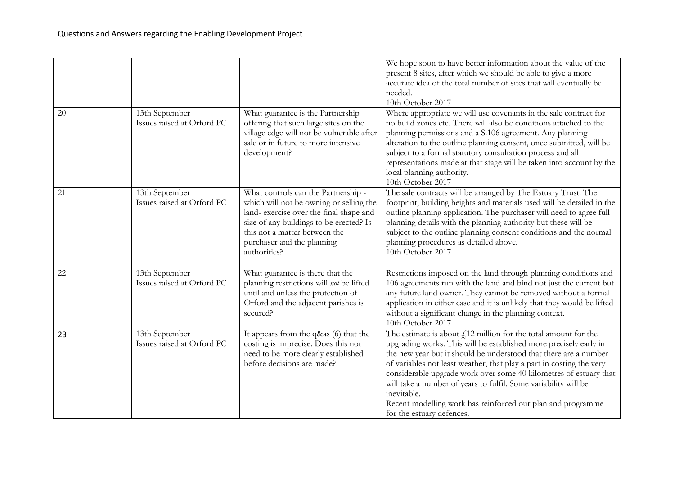|    |                                              |                                                                                                                                                                                                                                                     | We hope soon to have better information about the value of the<br>present 8 sites, after which we should be able to give a more<br>accurate idea of the total number of sites that will eventually be<br>needed.<br>10th October 2017                                                                                                                                                                                                                                                                                                  |
|----|----------------------------------------------|-----------------------------------------------------------------------------------------------------------------------------------------------------------------------------------------------------------------------------------------------------|----------------------------------------------------------------------------------------------------------------------------------------------------------------------------------------------------------------------------------------------------------------------------------------------------------------------------------------------------------------------------------------------------------------------------------------------------------------------------------------------------------------------------------------|
| 20 | 13th September<br>Issues raised at Orford PC | What guarantee is the Partnership<br>offering that such large sites on the<br>village edge will not be vulnerable after<br>sale or in future to more intensive<br>development?                                                                      | Where appropriate we will use covenants in the sale contract for<br>no build zones etc. There will also be conditions attached to the<br>planning permissions and a S.106 agreement. Any planning<br>alteration to the outline planning consent, once submitted, will be<br>subject to a formal statutory consultation process and all<br>representations made at that stage will be taken into account by the<br>local planning authority.<br>10th October 2017                                                                       |
| 21 | 13th September<br>Issues raised at Orford PC | What controls can the Partnership -<br>which will not be owning or selling the<br>land- exercise over the final shape and<br>size of any buildings to be erected? Is<br>this not a matter between the<br>purchaser and the planning<br>authorities? | The sale contracts will be arranged by The Estuary Trust. The<br>footprint, building heights and materials used will be detailed in the<br>outline planning application. The purchaser will need to agree full<br>planning details with the planning authority but these will be<br>subject to the outline planning consent conditions and the normal<br>planning procedures as detailed above.<br>10th October 2017                                                                                                                   |
| 22 | 13th September<br>Issues raised at Orford PC | What guarantee is there that the<br>planning restrictions will not be lifted<br>until and unless the protection of<br>Orford and the adjacent parishes is<br>secured?                                                                               | Restrictions imposed on the land through planning conditions and<br>106 agreements run with the land and bind not just the current but<br>any future land owner. They cannot be removed without a formal<br>application in either case and it is unlikely that they would be lifted<br>without a significant change in the planning context.<br>10th October 2017                                                                                                                                                                      |
| 23 | 13th September<br>Issues raised at Orford PC | It appears from the q&as (6) that the<br>costing is imprecise. Does this not<br>need to be more clearly established<br>before decisions are made?                                                                                                   | The estimate is about $fi$ 12 million for the total amount for the<br>upgrading works. This will be established more precisely early in<br>the new year but it should be understood that there are a number<br>of variables not least weather, that play a part in costing the very<br>considerable upgrade work over some 40 kilometres of estuary that<br>will take a number of years to fulfil. Some variability will be<br>inevitable.<br>Recent modelling work has reinforced our plan and programme<br>for the estuary defences. |